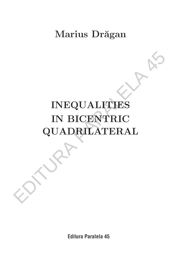# Marius Drăgan

# **INEQUALITIES IN BICENTRIC QUADRILATERAL** INEQUALITIES<br>
IN BICENTRIC<br>
QUADRILATERAL

**Editura Paralela 45**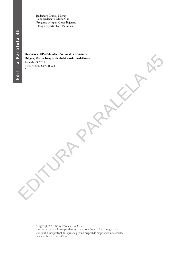Redactare: Daniel Mitran Tehnoredactare: Marta Gae Pregătire de tipar: Cezar Băjenaru Design copertă: Dan Păunescu

# **Descrierea CIP a Bibliotecii Naţionale a României Drăgan, Marius Inequalities in bicentric quadrilateral** Paralela 45, 2019 ISBN 978-973-47-3084-1 51 Dengan, Matus Inceputies in Disconnel equations and the control equation of the Control of the Control equation of the Control of the Control of the Control of the Control of the Control of the Control of the Control of th

Copyright © Editura Paralela 45, 2019 Prezenta lucrare folosește denumiri ce constituie mărci înregistrate, iar conținutul este protejat de legislația privind dreptul de proprietate intelectuală. www. edituraparalela45.ro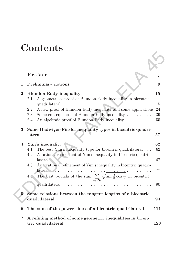# **Contents**

|                  | Preface                                                                                                                                                                                                                                                                                   | 7                    |
|------------------|-------------------------------------------------------------------------------------------------------------------------------------------------------------------------------------------------------------------------------------------------------------------------------------------|----------------------|
| 1                | <b>Preliminary notions</b>                                                                                                                                                                                                                                                                | 9                    |
| $\bf{2}$         | <b>Blundon-Eddy inequality</b>                                                                                                                                                                                                                                                            | 15                   |
|                  | A geometrical proof of Blundon-Eddy inequality in bicentric<br>2.1<br>quadrilateral<br>A new proof of Blundon-Eddy inequality and some applications<br>2.2<br>Some consequences of Blundon-Eddy inequality $\ldots \ldots$<br>2.3<br>An algebraic proof of Blundon-Eddy inequality<br>2.4 | 15<br>24<br>39<br>55 |
| 3                | Some Hadwiger-Finsler inequality types in bicentric quadri-<br>lateral                                                                                                                                                                                                                    | 57                   |
| 4                | Yun's inequality                                                                                                                                                                                                                                                                          | 62                   |
|                  | The best Yun's inequality type for bicentric quadrilateral<br>4.1                                                                                                                                                                                                                         | 62                   |
|                  | 4.2<br>A rational refinement of Yun's inequality in bicentric quadri-<br>lateral<br>.                                                                                                                                                                                                     | 67                   |
|                  | An irrational refinement of Yun's inequality in bicentric quadri-<br>4.3                                                                                                                                                                                                                  |                      |
|                  | $\arctan \ldots \ldots$<br>The best bounds of the sum $\sum_{cyclic} \sqrt{\sin \frac{A}{2} \cos \frac{B}{2}}$ in bicentric<br>$4.4^{\circ}$                                                                                                                                              | 77                   |
|                  | quadrilateral                                                                                                                                                                                                                                                                             | 90                   |
| $5^{\circ}$      | Some relations between the tangent lengths of a bicentric                                                                                                                                                                                                                                 |                      |
|                  | quadrilateral                                                                                                                                                                                                                                                                             | 94                   |
| $\boldsymbol{6}$ | The sum of the power sides of a bicentric quadrilateral                                                                                                                                                                                                                                   | 111                  |
| 7                | A refining method of some geometric inequalities in bicen-<br>tric quadrilateral                                                                                                                                                                                                          | 123                  |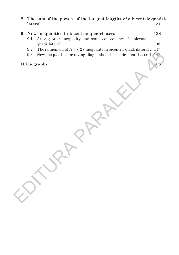**8 The sum of the powers of the tangent lengths of a bicentric quadrilateral 131**

| $9\phantom{.}$ |           | New inequalities in bicentric quadrilateral                                     | 138 |
|----------------|-----------|---------------------------------------------------------------------------------|-----|
|                | 9.1       | An algebraic inequality and some consequences in bicentric<br>quadrilateral     | 138 |
|                | $\rm 9.2$ | The refinement of $R \ge \sqrt{2} r$ inequality in bicentric quadrilateral.     | 147 |
|                | $9.3\,$   | New inequalities involving diagonals in bicentric quadrilateral<br>$\sqrt{148}$ |     |
|                |           | Bibliography                                                                    | 155 |
|                |           |                                                                                 |     |
|                |           |                                                                                 |     |
|                |           |                                                                                 |     |
|                |           |                                                                                 |     |
|                |           |                                                                                 |     |
|                |           |                                                                                 |     |
|                |           |                                                                                 |     |

#### Bibliography **155**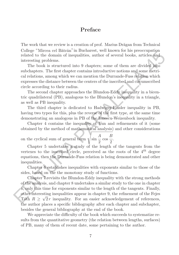#### **Preface**

The work that we review is a creation of prof. Marius Drăgan from Technical College "Mircea cel Bătrân" in Bucharest, well known for his preoccupation related to the domain of inequalities, author of several books, articles and interesting problems.

The book is structured into 9 chapters; some of them are divided into subchapters. The first chapter contains introductive notions and some metrical relations, among which we can mention the Durrande-Fuss relation which expresses the distance between the centers of the inscribed and circumscribed circle according to their radius.

The second chapter approaches the Blundon-Eddy inequality in a bicentric quadrilateral (PB), analogous to the Blundon's inequality in a triangle, as well as PB inequality.

The third chapter is dedicated to Hadwiger-Finsler inequality in PB, having two types for this, plus the reverse of the first type, at the same time demonstrating an analogous in PB of the Ionescu-Weizenbock inequality.

Chapter 4 contains the inequality of Yun and refinements of it (some obtained by the method of mathematical analysis) and other considerations

on the cyclical sum of general term  $\sqrt{\sin \theta}$ A  $\frac{1}{2}$  cos B  $\frac{1}{2}$ .

Chapter 5 undertakes a study of the length of the tangents from the vertexes to the inscribed circle, perceived as the roots of the 4*th* degree equations, then the Durrande-Fuss relation is being demonstrated and other inequalities.

Chapter 6 establishes inequalities with exponents similar to those of the sides, based on the the monotony study of functions.

Chapter 7 revisits the Blundon-Eddy inequality with the strong methods of the analysis, and chapter 8 undertakes a similar study to the one in chapter 6, only this time for exponents similar to the length of the tangents. Finally, other interesting inequalities appear in chapter 9, the refinement of the Fejes Tóth  $R \geq \sqrt{2}r$  inequality. For an easier acknowledgement of references, the author places a specific bibliography after each chapter and subchapter, besides the general bibliography at the end of the book. conger wince to roate in Bucharactes, we move for the precising related to the domain of inequalities, surthor of several books, articles and interesting problems. The book is structured into 9 chapters; some of them are

We appreciate the difficulty of the book which succeeds to systematize results from the quantitative geometry (the relation between lengths, surfaces) of PB, many of them of recent date, some pertaining to the author.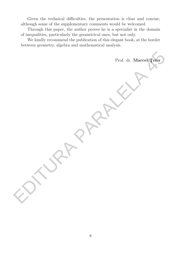Given the technical difficulties, the presentation is clear and concise, although some of the supplementary comments would be welcomed.

Through this paper, the author proves he is a specialist in the domain of inequalities, particularly the geometrical ones, but not only.

We kindly recommend the publication of this elegant book, at the border between geometry, algebra and mathematical analysis.

Prof. dr. Marcel Tena Prof. dr. Marcel Tena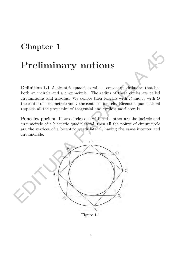#### **Chapter 1**

#### **Preliminary notions**

**Definition 1.1** A bicentric quadrilateral is a convex quadrilateral that has both an incircle and a circumcircle. The radius of these circles are called circumradius and irradius. We denote their lengths with  $R$  and  $r$ , with  $O$ the center of circumcircle and I the center of incircle. Bicentric quadrilateral respects all the properties of tangential and cyclic quadrilaterals.

**Poncelet porism**. If two circles one within the other are the incircle and circumcircle of a bicentric quadrilateral, then all the points of circumcircle are the vertices of a bicentric quadrilateral, having the same incenter and circumcircle.



Figure 1.1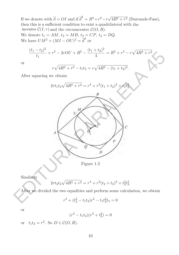If we denote with  $\overline{d} = O I$  and if  $\overline{d}^2 = R^2 + r^2 - r\sqrt{4R^2 + r^2}$  (Durrande-Fuss), then this is a sufficient condition to exist a quadrilateral with the We denote  $t_1 = AM$ ,  $t_2 = MB$ ,  $t_3 = CP$ ,  $t_4 = DQ$ . We have  $UM^2 + (MI - OU)^2 = \overline{d}^2$  or incenter  $\mathcal{C}(I,r)$  and the circumcenter  $\mathcal{C}(O, R)$ .

$$
\frac{(t_1 - t_2)^2}{t_1} + r^2 - 2r\mathcal{O}U + R^2 - \frac{(t_1 + t_2)^2}{4} = R^2 + r^2 - r\sqrt{4R^2 + r^2}
$$

or

$$
r\sqrt{4R^2+r^2}-t_1t_2 = r\sqrt{4R^2-(t_1+t_2)^2}.
$$

After squaring we obtain



Figure 1.2

Similarly

$$
2rt_2t_3\sqrt{4R^2+r^2} = r^4+r^2(t_2+t_3)^2+t_2^2t_3^2.
$$

After we divided the two equalities and perform some calculation, we obtain

$$
r^4 + (t_2^2 - t_1 t_3) r^2 - t_1 t_2^2 t_3 = 0
$$

or

$$
(r^2 - t_1 t_3)(r^2 + t_2^2) = 0
$$

or  $t_1t_3 = r^2$ . So  $D \in \mathcal{C}(O, R)$ .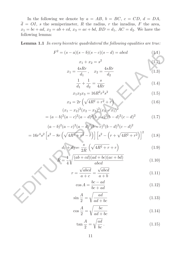In the following we denote by  $a = AB$ ,  $b = BC$ ,  $c = CD$ ,  $d = DA$ ,  $\overline{d} = OI$ , s the semiperimeter, R the radius, r the inradius, F the area,  $x_1 = bc + ad, x_2 = ab + cd, x_3 = ac + bd, BD = d_1, AC = d_2.$  We have the following lemma:

**Lemma 1.1** In every bicentric quadrilateral the following equalities are true:

$$
F2 = (s - a)(s - b)(s - c)(s - d) = abcd
$$
\n
$$
x1 + x2 = s2
$$
\n(1.2)

$$
x_1 = \frac{4sRr}{d_1}, \quad x_2 = \frac{4sRr}{d_2} \tag{1.3}
$$

$$
\frac{1}{d_1} + \frac{1}{d_2} = \frac{s}{4Rr}
$$
 (1.4)

$$
x_1 x_2 x_3 = 16R^2 r^2 s^2 \tag{1.5}
$$

$$
x_3 = 2r\left(\sqrt{4R^2 + r^2} + r\right) \tag{1.6}
$$

$$
(x_1 - x_2)^2 (x_2 - x_3)^2 (x_3 - x_1)^2
$$
  
=  $(a - b)^2 (a - c)^2 (a - d)^2 (b - c)^2 (b - d)^2 (c - d)^2$  (1.7)

$$
F^{2} = (s - a)(s - b)(s - c)(s - d) = abcd
$$
(1.1)  
\n
$$
x_{1} + x_{2} = s^{2}
$$
(1.2)  
\n
$$
x_{1} = \frac{4sRr}{d_{1}}, \quad x_{2} = \frac{4sRr}{d_{2}}
$$
(1.3)  
\n
$$
\frac{1}{d_{1}} + \frac{1}{d_{2}} = \frac{s}{4Rr}
$$
(1.4)  
\n
$$
x_{1}x_{2}x_{3} = 16R^{2}r^{2}s^{2}
$$
(1.5)  
\n
$$
x_{3} = 2r(\sqrt{4R^{2} + r^{2}} + r)
$$
(1.6)  
\n
$$
(x_{1} - x_{2})^{2}(x_{2} - x_{3})^{2}(x_{3} - x_{1})^{2}
$$
  
\n
$$
= (a - b)^{2}(a - c)^{2}(a - d)^{2}(b - c)^{2}(b - d)^{2}(c - d)^{2}
$$
(1.7)  
\n
$$
(a - b)^{2}(a - c)^{2}(a - d)^{2}(b - c)^{2}(b - d)^{2}(c - d)^{2}
$$
  
\n
$$
= 16r^{4}s^{2} [s^{2} - 8r(\sqrt{4R^{2} + r^{2}} - r)][s^{2} - (r + \sqrt{4R^{2} + r^{2}})]^{2}
$$
(1.8)  
\n
$$
d_{1} + d_{2} = \frac{s}{2R}(\sqrt{4R^{2} + r} + r)
$$
(1.9)  
\n
$$
R = \frac{1}{4}\sqrt{\frac{(ab + cd)(ad + bc)(ac + bd)}{abcd}}
$$
(1.10)  
\n
$$
r = \frac{\sqrt{abcd}}{a + c} = \frac{\sqrt{abcd}}{a + b}
$$
(1.11)  
\n
$$
\cos A = \frac{bc - ad}{bc + ad}
$$
(1.12)  
\n
$$
\sin \frac{A}{2} = \sqrt{\frac{ad}{ad + bc}}
$$
(1.13)

$$
d_1 + d_2 = \frac{s}{2R} \left( \sqrt{4R^2 + r} + r \right)
$$
 (1.9)

$$
R = \frac{1}{4} \sqrt{\frac{(ab+cd)(ad+bc)(ac+bd)}{abcd}}
$$
(1.10)

$$
r = \frac{\sqrt{abcd}}{a+c} = \frac{\sqrt{abcd}}{a+b} \tag{1.11}
$$

$$
\cos A = \frac{bc - ad}{bc + ad} \tag{1.12}
$$

$$
\sin\frac{A}{2} = \sqrt{\frac{ad}{ad + bc}}
$$
\n(1.13)

$$
\cos\frac{A}{2} = \sqrt{\frac{bc}{ad + bc}}
$$
\n(1.14)

$$
\tan\frac{A}{2} = \sqrt{\frac{ad}{bc}}.
$$
\n(1.15)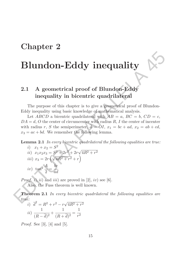#### **Chapter 2**

# **Blundon-Eddy inequality**

#### **2.1 A geometrical proof of Blundon-Eddy inequality in bicentric quadrilateral**

The purpose of this chapter is to give a geometrical proof of Blundon-Eddy inequality using basic knowledge of mathematical analysis.

Let ABCD a bicentric quadrilateral with  $AB = a$ ,  $BC = b$ ,  $CD = c$ ,  $DA = d$ , O the center of circumcenter with radius R, I the center of incenter with radius r, S the semiperimeter,  $\overline{d} = \overline{0I}$ ,  $x_1 = bc + ad$ ,  $x_2 = ab + cd$ ,  $x_3 = ac + bd$ . We remember the following lemma. **Blundon-Eddy inequality**<br>
2.1 A geometrical proof of Blundon-Eddy<br>
inequality in bicentric quadrilateral<br>
The purpose of this chapter is to give a geometrical proof of Blundon-<br>
Eddy inequality using basic knowledge of m

**Lemma 2.1** In every bicentric quadrilateral the following equalities are true:

*i)* 
$$
x_1 + x_2 = S^2
$$
  
\n*ii)*  $x_1x_2x_3 = S^2 + 2r^2 + 2r\sqrt{4R^2 + r^2}$   
\n*iii)*  $x_3 = 2r(\sqrt{4R^2 + r^2} + r)$   
\n*iv)*  $\tan^2 \frac{A}{2} = \frac{bc}{ad}$ 

*Proof. i*), *ii*) and *iii*) are proved in [2], *iv*) see [6]. Also, the Fuss theorem is well known.

**Theorem 2.1** In every bicentric quadrilateral the following equalities are true:

$$
\vec{i)} \quad \vec{d}^2 = R^2 + r^2 - r\sqrt{4R^2 + r^2}
$$
\n
$$
ii) \quad \frac{1}{(R - \vec{d})^2} + \frac{1}{(R + \vec{d})^2} = \frac{1}{r^2}
$$

*Proof.* See [3], [4] and [5].